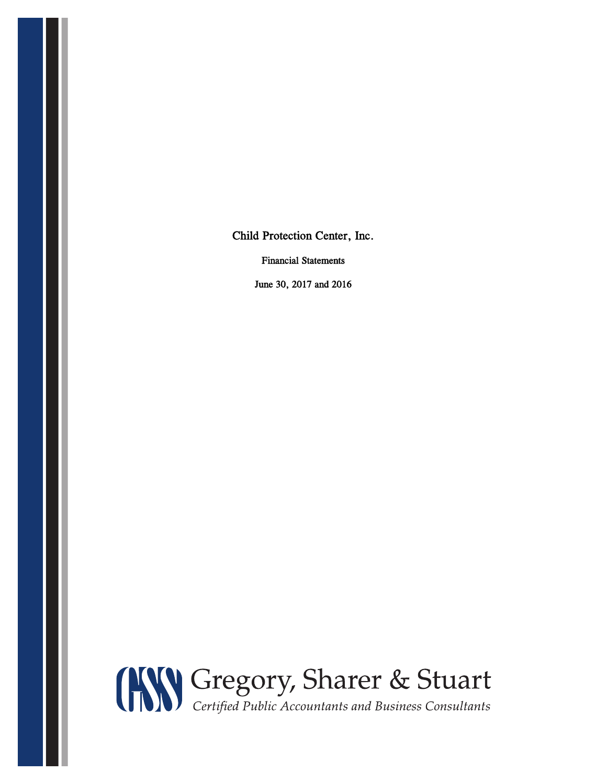Child Protection Center, Inc.

Financial Statements

June 30, 2017 and 2016

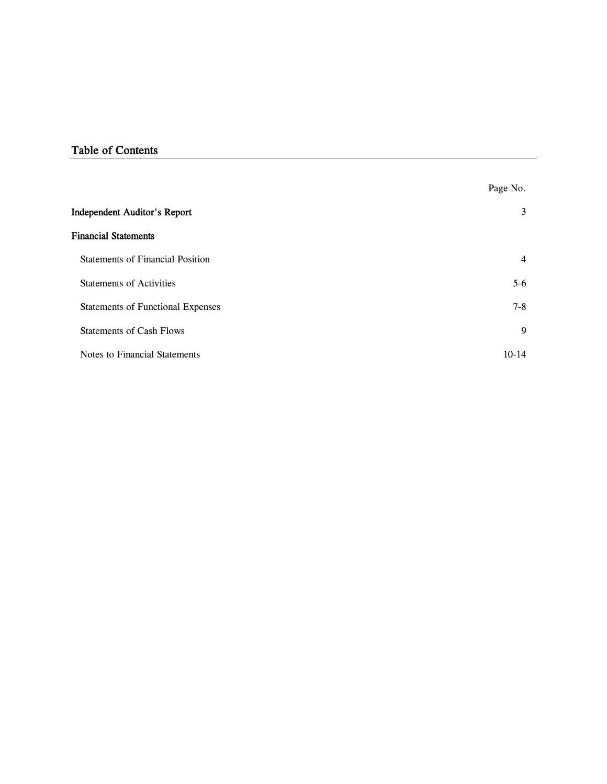# Table of Contents

|                                          | Page No. |
|------------------------------------------|----------|
| <b>Independent Auditor's Report</b>      | 3        |
| <b>Financial Statements</b>              |          |
| <b>Statements of Financial Position</b>  | 4        |
| <b>Statements of Activities</b>          | $5-6$    |
| <b>Statements of Functional Expenses</b> | $7-8$    |
| <b>Statements of Cash Flows</b>          | 9        |
| Notes to Financial Statements            | $10-14$  |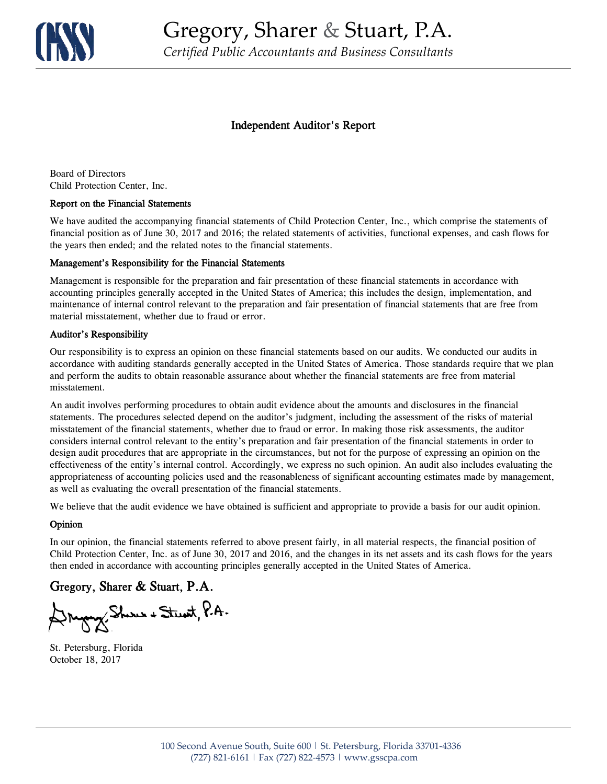

### Independent Auditor's Report

Board of Directors Child Protection Center, Inc.

#### Report on the Financial Statements

We have audited the accompanying financial statements of Child Protection Center, Inc., which comprise the statements of financial position as of June 30, 2017 and 2016; the related statements of activities, functional expenses, and cash flows for the years then ended; and the related notes to the financial statements.

#### Management's Responsibility for the Financial Statements

Management is responsible for the preparation and fair presentation of these financial statements in accordance with accounting principles generally accepted in the United States of America; this includes the design, implementation, and maintenance of internal control relevant to the preparation and fair presentation of financial statements that are free from material misstatement, whether due to fraud or error.

#### Auditor's Responsibility

Our responsibility is to express an opinion on these financial statements based on our audits. We conducted our audits in accordance with auditing standards generally accepted in the United States of America. Those standards require that we plan and perform the audits to obtain reasonable assurance about whether the financial statements are free from material misstatement.

An audit involves performing procedures to obtain audit evidence about the amounts and disclosures in the financial statements. The procedures selected depend on the auditor's judgment, including the assessment of the risks of material misstatement of the financial statements, whether due to fraud or error. In making those risk assessments, the auditor considers internal control relevant to the entity's preparation and fair presentation of the financial statements in order to design audit procedures that are appropriate in the circumstances, but not for the purpose of expressing an opinion on the effectiveness of the entity's internal control. Accordingly, we express no such opinion. An audit also includes evaluating the appropriateness of accounting policies used and the reasonableness of significant accounting estimates made by management, as well as evaluating the overall presentation of the financial statements.

We believe that the audit evidence we have obtained is sufficient and appropriate to provide a basis for our audit opinion.

#### Opinion

In our opinion, the financial statements referred to above present fairly, in all material respects, the financial position of Child Protection Center, Inc. as of June 30, 2017 and 2016, and the changes in its net assets and its cash flows for the years then ended in accordance with accounting principles generally accepted in the United States of America.

## Gregory, Sharer & Stuart, P.A.

Drygy Shows + Stunt, P.A.

St. Petersburg, Florida October 18, 2017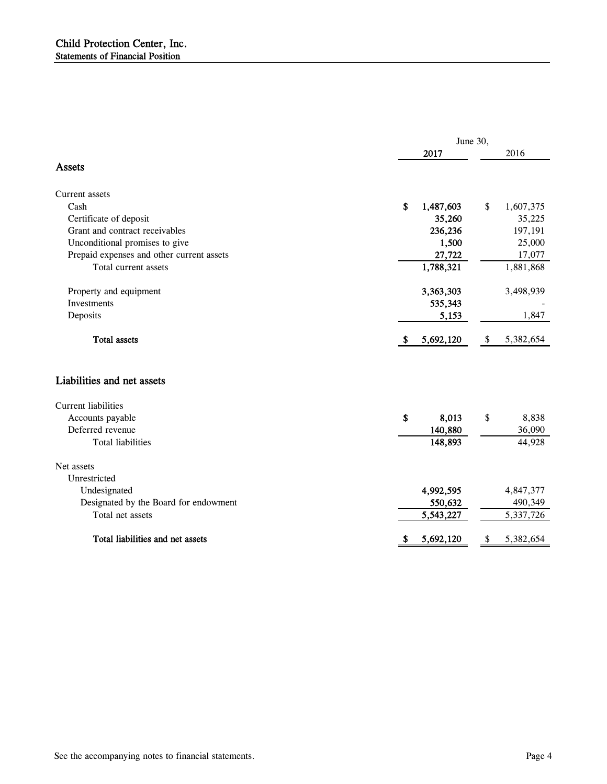|                                           | June 30,        |                 |
|-------------------------------------------|-----------------|-----------------|
|                                           | 2017            | 2016            |
| <b>Assets</b>                             |                 |                 |
| <b>Current assets</b>                     |                 |                 |
| Cash                                      | \$<br>1,487,603 | \$<br>1,607,375 |
| Certificate of deposit                    | 35,260          | 35,225          |
| Grant and contract receivables            | 236,236         | 197,191         |
| Unconditional promises to give            | 1,500           | 25,000          |
| Prepaid expenses and other current assets | 27,722          | 17,077          |
| Total current assets                      | 1,788,321       | 1,881,868       |
| Property and equipment                    | 3,363,303       | 3,498,939       |
| Investments                               | 535,343         |                 |
| Deposits                                  | 5,153           | 1,847           |
| <b>Total assets</b>                       | \$<br>5,692,120 | \$<br>5,382,654 |
| Liabilities and net assets                |                 |                 |
| <b>Current liabilities</b>                |                 |                 |
| Accounts payable                          | \$<br>8,013     | \$<br>8,838     |
| Deferred revenue                          | 140,880         | 36,090          |
| <b>Total liabilities</b>                  | 148,893         | 44,928          |
| Net assets                                |                 |                 |
| Unrestricted                              |                 |                 |
| Undesignated                              | 4,992,595       | 4,847,377       |
| Designated by the Board for endowment     | 550,632         | 490,349         |
| Total net assets                          | 5,543,227       | 5,337,726       |
|                                           |                 |                 |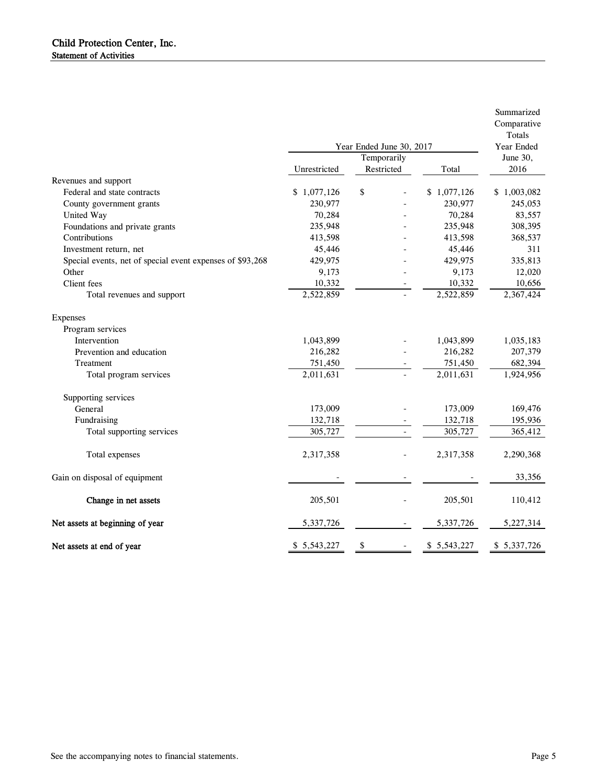|                                                           |              | Year Ended June 30, 2017 |             | Summarized<br>Comparative<br>Totals<br><b>Year Ended</b> |
|-----------------------------------------------------------|--------------|--------------------------|-------------|----------------------------------------------------------|
|                                                           |              | Temporarily              |             | June 30,                                                 |
|                                                           | Unrestricted | Restricted               | Total       | 2016                                                     |
| Revenues and support                                      |              |                          |             |                                                          |
| Federal and state contracts                               | \$1,077,126  | \$                       | \$1,077,126 | \$1,003,082                                              |
| County government grants                                  | 230,977      |                          | 230,977     | 245,053                                                  |
| United Way                                                | 70,284       |                          | 70,284      | 83,557                                                   |
| Foundations and private grants                            | 235,948      |                          | 235,948     | 308,395                                                  |
| Contributions                                             | 413,598      |                          | 413,598     | 368,537                                                  |
| Investment return, net                                    | 45,446       |                          | 45,446      | 311                                                      |
| Special events, net of special event expenses of \$93,268 | 429,975      |                          | 429,975     | 335,813                                                  |
| Other                                                     | 9,173        |                          | 9,173       | 12,020                                                   |
| Client fees                                               | 10,332       |                          | 10,332      | 10,656                                                   |
| Total revenues and support                                | 2,522,859    |                          | 2,522,859   | 2,367,424                                                |
| Expenses                                                  |              |                          |             |                                                          |
| Program services                                          |              |                          |             |                                                          |
| Intervention                                              | 1,043,899    |                          | 1,043,899   | 1,035,183                                                |
| Prevention and education                                  | 216,282      |                          | 216,282     | 207,379                                                  |
| Treatment                                                 | 751,450      |                          | 751,450     | 682,394                                                  |
| Total program services                                    | 2,011,631    |                          | 2,011,631   | 1,924,956                                                |
| Supporting services                                       |              |                          |             |                                                          |
| General                                                   | 173,009      |                          | 173,009     | 169,476                                                  |
| Fundraising                                               | 132,718      |                          | 132,718     | 195,936                                                  |
| Total supporting services                                 | 305,727      |                          | 305,727     | 365,412                                                  |
| Total expenses                                            | 2,317,358    |                          | 2,317,358   | 2,290,368                                                |
| Gain on disposal of equipment                             |              |                          |             | 33,356                                                   |
| Change in net assets                                      | 205,501      |                          | 205,501     | 110,412                                                  |
| Net assets at beginning of year                           | 5,337,726    |                          | 5,337,726   | 5,227,314                                                |
| Net assets at end of year                                 | \$5,543,227  | \$                       | \$5,543,227 | \$5,337,726                                              |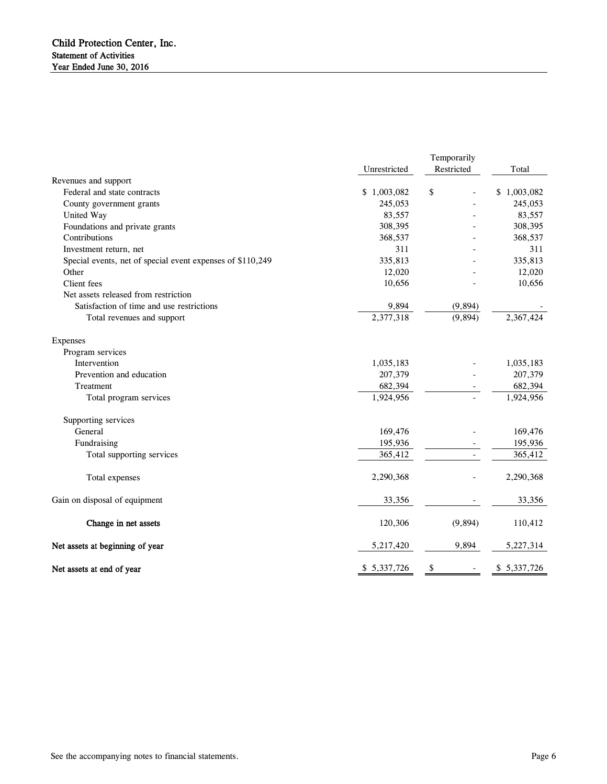|                                                            |              | Temporarily |             |  |
|------------------------------------------------------------|--------------|-------------|-------------|--|
|                                                            | Unrestricted | Restricted  | Total       |  |
| Revenues and support                                       |              |             |             |  |
| Federal and state contracts                                | \$1,003,082  | \$          | \$1,003,082 |  |
| County government grants                                   | 245,053      |             | 245,053     |  |
| United Way                                                 | 83,557       |             | 83,557      |  |
| Foundations and private grants                             | 308,395      |             | 308,395     |  |
| Contributions                                              | 368,537      |             | 368,537     |  |
| Investment return, net                                     | 311          |             | 311         |  |
| Special events, net of special event expenses of \$110,249 | 335,813      |             | 335,813     |  |
| Other                                                      | 12,020       |             | 12,020      |  |
| Client fees                                                | 10,656       |             | 10,656      |  |
| Net assets released from restriction                       |              |             |             |  |
| Satisfaction of time and use restrictions                  | 9,894        | (9, 894)    |             |  |
| Total revenues and support                                 | 2,377,318    | (9,894)     | 2,367,424   |  |
| Expenses                                                   |              |             |             |  |
| Program services                                           |              |             |             |  |
| Intervention                                               | 1,035,183    |             | 1,035,183   |  |
| Prevention and education                                   | 207,379      |             | 207,379     |  |
| Treatment                                                  | 682,394      |             | 682,394     |  |
| Total program services                                     | 1,924,956    |             | 1,924,956   |  |
| Supporting services                                        |              |             |             |  |
| General                                                    | 169,476      |             | 169,476     |  |
| Fundraising                                                | 195,936      |             | 195,936     |  |
| Total supporting services                                  | 365,412      |             | 365,412     |  |
| Total expenses                                             | 2,290,368    |             | 2,290,368   |  |
| Gain on disposal of equipment                              | 33,356       |             | 33,356      |  |
| Change in net assets                                       | 120,306      | (9,894)     | 110,412     |  |
| Net assets at beginning of year                            | 5,217,420    | 9,894       | 5,227,314   |  |
| Net assets at end of year                                  | \$5,337,726  | \$          | \$5,337,726 |  |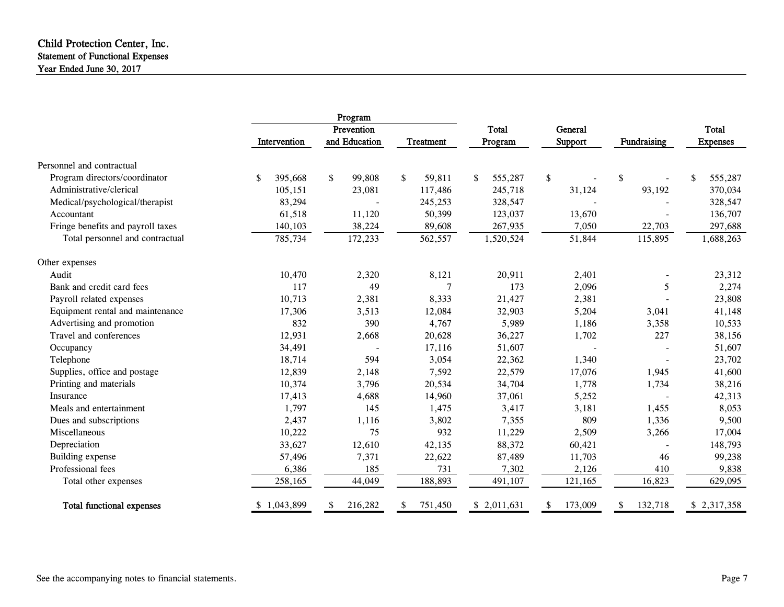### Child Protection Center, Inc. Statement of Functional Expenses Year Ended June 30, 2017

|                                   |                          | Program       |                  |               |         |                          |                 |
|-----------------------------------|--------------------------|---------------|------------------|---------------|---------|--------------------------|-----------------|
|                                   |                          | Prevention    |                  | Total         | General |                          | <b>Total</b>    |
|                                   | Intervention             | and Education | <b>Treatment</b> | Program       | Support | Fundraising              | <b>Expenses</b> |
| Personnel and contractual         |                          |               |                  |               |         |                          |                 |
| Program directors/coordinator     | 395,668<br><sup>\$</sup> | 99,808<br>\$  | \$<br>59,811     | \$<br>555,287 | \$      | \$                       | 555,287<br>\$   |
| Administrative/clerical           | 105,151                  | 23,081        | 117,486          | 245,718       | 31,124  | 93,192                   | 370,034         |
| Medical/psychological/therapist   | 83,294                   |               | 245,253          | 328,547       |         |                          | 328,547         |
| Accountant                        | 61,518                   | 11,120        | 50,399           | 123,037       | 13,670  |                          | 136,707         |
| Fringe benefits and payroll taxes | 140,103                  | 38,224        | 89,608           | 267,935       | 7,050   | 22,703                   | 297,688         |
| Total personnel and contractual   | 785,734                  | 172,233       | 562,557          | 1,520,524     | 51,844  | 115,895                  | 1,688,263       |
| Other expenses                    |                          |               |                  |               |         |                          |                 |
| Audit                             | 10,470                   | 2,320         | 8,121            | 20,911        | 2,401   |                          | 23,312          |
| Bank and credit card fees         | 117                      | 49            | 7                | 173           | 2,096   | 5                        | 2,274           |
| Payroll related expenses          | 10,713                   | 2,381         | 8,333            | 21,427        | 2,381   |                          | 23,808          |
| Equipment rental and maintenance  | 17,306                   | 3,513         | 12,084           | 32,903        | 5,204   | 3,041                    | 41,148          |
| Advertising and promotion         | 832                      | 390           | 4,767            | 5,989         | 1,186   | 3,358                    | 10,533          |
| Travel and conferences            | 12,931                   | 2,668         | 20,628           | 36,227        | 1,702   | 227                      | 38,156          |
| Occupancy                         | 34,491                   |               | 17,116           | 51,607        |         | $\overline{\phantom{a}}$ | 51,607          |
| Telephone                         | 18,714                   | 594           | 3,054            | 22,362        | 1,340   |                          | 23,702          |
| Supplies, office and postage      | 12,839                   | 2,148         | 7,592            | 22,579        | 17,076  | 1,945                    | 41,600          |
| Printing and materials            | 10,374                   | 3,796         | 20,534           | 34,704        | 1,778   | 1,734                    | 38,216          |
| Insurance                         | 17,413                   | 4,688         | 14,960           | 37,061        | 5,252   |                          | 42,313          |
| Meals and entertainment           | 1,797                    | 145           | 1,475            | 3,417         | 3,181   | 1,455                    | 8,053           |
| Dues and subscriptions            | 2,437                    | 1,116         | 3,802            | 7,355         | 809     | 1,336                    | 9,500           |
| Miscellaneous                     | 10,222                   | 75            | 932              | 11,229        | 2,509   | 3,266                    | 17,004          |
| Depreciation                      | 33,627                   | 12,610        | 42,135           | 88,372        | 60,421  |                          | 148,793         |
| Building expense                  | 57,496                   | 7,371         | 22,622           | 87,489        | 11,703  | 46                       | 99,238          |
| Professional fees                 | 6,386                    | 185           | 731              | 7,302         | 2,126   | 410                      | 9,838           |
| Total other expenses              | 258,165                  | 44,049        | 188,893          | 491,107       | 121,165 | 16,823                   | 629,095         |
| <b>Total functional expenses</b>  | 1,043,899                | 216,282       | 751,450          | \$2,011,631   | 173,009 | 132,718                  | \$2,317,358     |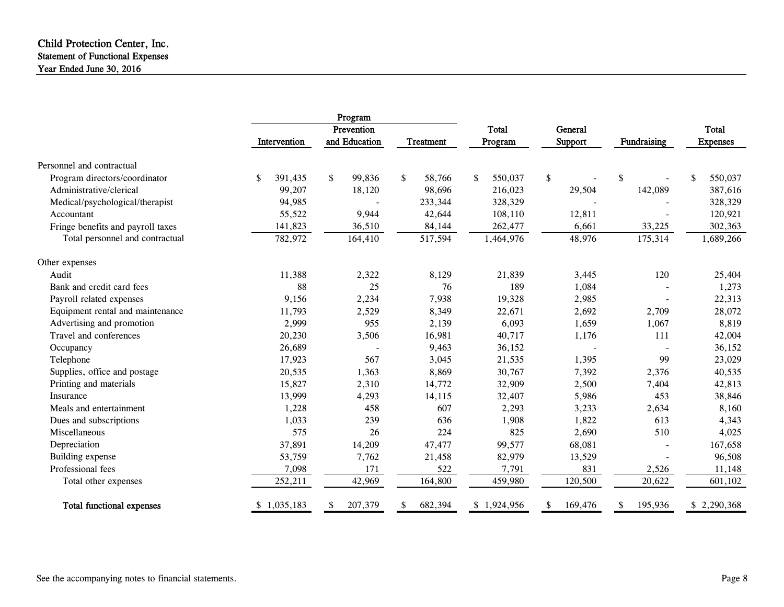### Child Protection Center, Inc. Statement of Functional Expenses Year Ended June 30, 2016

|                                   |               | Program       |              |               |                |                          |                 |
|-----------------------------------|---------------|---------------|--------------|---------------|----------------|--------------------------|-----------------|
|                                   |               | Prevention    |              | <b>Total</b>  | <b>General</b> |                          | <b>Total</b>    |
|                                   | Intervention  | and Education | Treatment    | Program       | Support        | Fundraising              | <b>Expenses</b> |
| Personnel and contractual         |               |               |              |               |                |                          |                 |
| Program directors/coordinator     | \$<br>391,435 | 99,836<br>\$  | \$<br>58,766 | 550,037<br>\$ | \$             | \$                       | 550,037<br>\$   |
| Administrative/clerical           | 99,207        | 18,120        | 98,696       | 216,023       | 29,504         | 142,089                  | 387,616         |
| Medical/psychological/therapist   | 94,985        |               | 233,344      | 328,329       |                |                          | 328,329         |
| Accountant                        | 55,522        | 9,944         | 42,644       | 108,110       | 12,811         |                          | 120,921         |
| Fringe benefits and payroll taxes | 141,823       | 36,510        | 84,144       | 262,477       | 6,661          | 33,225                   | 302,363         |
| Total personnel and contractual   | 782,972       | 164,410       | 517,594      | 1,464,976     | 48,976         | 175,314                  | 1,689,266       |
| Other expenses                    |               |               |              |               |                |                          |                 |
| Audit                             | 11,388        | 2,322         | 8,129        | 21,839        | 3,445          | 120                      | 25,404          |
| Bank and credit card fees         | 88            | 25            | 76           | 189           | 1,084          |                          | 1,273           |
| Payroll related expenses          | 9,156         | 2,234         | 7,938        | 19,328        | 2,985          |                          | 22,313          |
| Equipment rental and maintenance  | 11,793        | 2,529         | 8,349        | 22,671        | 2,692          | 2,709                    | 28,072          |
| Advertising and promotion         | 2,999         | 955           | 2,139        | 6,093         | 1,659          | 1,067                    | 8,819           |
| Travel and conferences            | 20,230        | 3,506         | 16,981       | 40,717        | 1,176          | 111                      | 42,004          |
| Occupancy                         | 26,689        |               | 9,463        | 36,152        |                | $\overline{\phantom{a}}$ | 36,152          |
| Telephone                         | 17,923        | 567           | 3,045        | 21,535        | 1,395          | 99                       | 23,029          |
| Supplies, office and postage      | 20,535        | 1,363         | 8,869        | 30,767        | 7,392          | 2,376                    | 40,535          |
| Printing and materials            | 15,827        | 2,310         | 14,772       | 32,909        | 2,500          | 7,404                    | 42,813          |
| Insurance                         | 13,999        | 4,293         | 14,115       | 32,407        | 5,986          | 453                      | 38,846          |
| Meals and entertainment           | 1,228         | 458           | 607          | 2,293         | 3,233          | 2,634                    | 8,160           |
| Dues and subscriptions            | 1,033         | 239           | 636          | 1,908         | 1,822          | 613                      | 4,343           |
| Miscellaneous                     | 575           | 26            | 224          | 825           | 2,690          | 510                      | 4,025           |
| Depreciation                      | 37,891        | 14,209        | 47,477       | 99,577        | 68,081         |                          | 167,658         |
| Building expense                  | 53,759        | 7,762         | 21,458       | 82,979        | 13,529         | ÷.                       | 96,508          |
| Professional fees                 | 7,098         | 171           | 522          | 7,791         | 831            | 2,526                    | 11,148          |
| Total other expenses              | 252,211       | 42,969        | 164,800      | 459,980       | 120,500        | 20,622                   | 601,102         |
| <b>Total functional expenses</b>  | 1,035,183     | 207,379       | 682,394      | \$1,924,956   | 169,476        | 195,936                  | \$2,290,368     |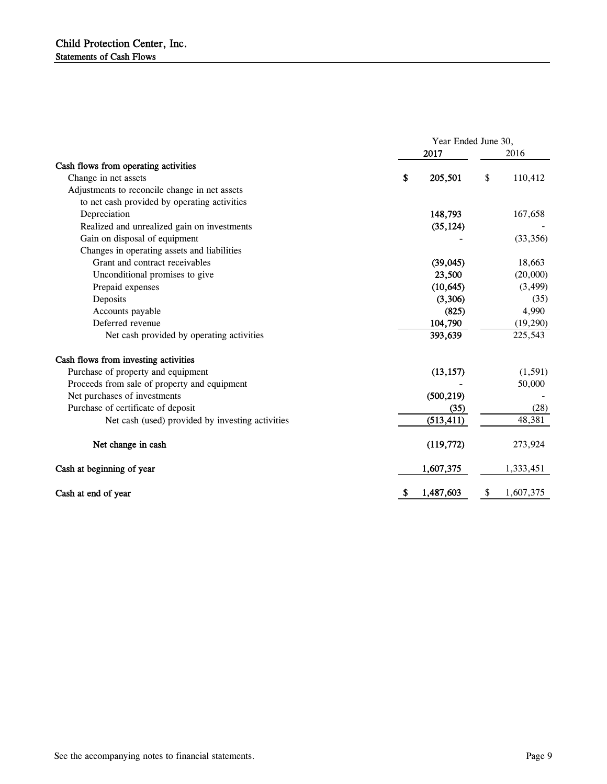|                                                  | Year Ended June 30, |            |    |           |
|--------------------------------------------------|---------------------|------------|----|-----------|
|                                                  |                     | 2017       |    | 2016      |
| Cash flows from operating activities             |                     |            |    |           |
| Change in net assets                             | \$                  | 205,501    | \$ | 110,412   |
| Adjustments to reconcile change in net assets    |                     |            |    |           |
| to net cash provided by operating activities     |                     |            |    |           |
| Depreciation                                     |                     | 148,793    |    | 167,658   |
| Realized and unrealized gain on investments      |                     | (35, 124)  |    |           |
| Gain on disposal of equipment                    |                     |            |    | (33, 356) |
| Changes in operating assets and liabilities      |                     |            |    |           |
| Grant and contract receivables                   |                     | (39,045)   |    | 18,663    |
| Unconditional promises to give                   |                     | 23,500     |    | (20,000)  |
| Prepaid expenses                                 |                     | (10, 645)  |    | (3, 499)  |
| Deposits                                         |                     | (3,306)    |    | (35)      |
| Accounts payable                                 |                     | (825)      |    | 4,990     |
| Deferred revenue                                 |                     | 104,790    |    | (19,290)  |
| Net cash provided by operating activities        |                     | 393,639    |    | 225,543   |
| Cash flows from investing activities             |                     |            |    |           |
| Purchase of property and equipment               |                     | (13, 157)  |    | (1,591)   |
| Proceeds from sale of property and equipment     |                     |            |    | 50,000    |
| Net purchases of investments                     |                     | (500, 219) |    |           |
| Purchase of certificate of deposit               |                     | (35)       |    | (28)      |
| Net cash (used) provided by investing activities |                     | (513, 411) |    | 48,381    |
| Net change in cash                               |                     | (119,772)  |    | 273,924   |
| Cash at beginning of year                        |                     | 1,607,375  |    | 1,333,451 |
| Cash at end of year                              | S                   | 1,487,603  | S  | 1,607,375 |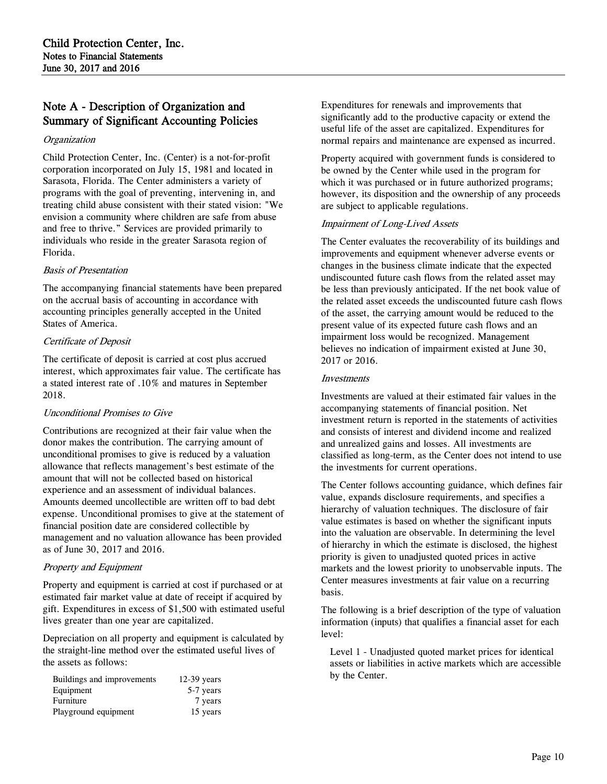## Note A - Description of Organization and Summary of Significant Accounting Policies

#### **Organization**

Child Protection Center, Inc. (Center) is a not-for-profit corporation incorporated on July 15, 1981 and located in Sarasota, Florida. The Center administers a variety of programs with the goal of preventing, intervening in, and treating child abuse consistent with their stated vision: "We envision a community where children are safe from abuse and free to thrive." Services are provided primarily to individuals who reside in the greater Sarasota region of Florida.

#### Basis of Presentation

The accompanying financial statements have been prepared on the accrual basis of accounting in accordance with accounting principles generally accepted in the United States of America.

#### Certificate of Deposit

The certificate of deposit is carried at cost plus accrued interest, which approximates fair value. The certificate has a stated interest rate of .10% and matures in September 2018.

#### Unconditional Promises to Give

Contributions are recognized at their fair value when the donor makes the contribution. The carrying amount of unconditional promises to give is reduced by a valuation allowance that reflects management's best estimate of the amount that will not be collected based on historical experience and an assessment of individual balances. Amounts deemed uncollectible are written off to bad debt expense. Unconditional promises to give at the statement of financial position date are considered collectible by management and no valuation allowance has been provided as of June 30, 2017 and 2016.

#### Property and Equipment

Property and equipment is carried at cost if purchased or at estimated fair market value at date of receipt if acquired by gift. Expenditures in excess of \$1,500 with estimated useful lives greater than one year are capitalized.

Depreciation on all property and equipment is calculated by the straight-line method over the estimated useful lives of the assets as follows:

| Buildings and improvements | $12-39$ years |
|----------------------------|---------------|
| Equipment                  | 5-7 years     |
| Furniture                  | 7 years       |
| Playground equipment       | 15 years      |

Expenditures for renewals and improvements that significantly add to the productive capacity or extend the useful life of the asset are capitalized. Expenditures for normal repairs and maintenance are expensed as incurred.

Property acquired with government funds is considered to be owned by the Center while used in the program for which it was purchased or in future authorized programs; however, its disposition and the ownership of any proceeds are subject to applicable regulations.

#### Impairment of Long-Lived Assets

The Center evaluates the recoverability of its buildings and improvements and equipment whenever adverse events or changes in the business climate indicate that the expected undiscounted future cash flows from the related asset may be less than previously anticipated. If the net book value of the related asset exceeds the undiscounted future cash flows of the asset, the carrying amount would be reduced to the present value of its expected future cash flows and an impairment loss would be recognized. Management believes no indication of impairment existed at June 30, 2017 or 2016.

#### Investments

Investments are valued at their estimated fair values in the accompanying statements of financial position. Net investment return is reported in the statements of activities and consists of interest and dividend income and realized and unrealized gains and losses. All investments are classified as long-term, as the Center does not intend to use the investments for current operations.

The Center follows accounting guidance, which defines fair value, expands disclosure requirements, and specifies a hierarchy of valuation techniques. The disclosure of fair value estimates is based on whether the significant inputs into the valuation are observable. In determining the level of hierarchy in which the estimate is disclosed, the highest priority is given to unadjusted quoted prices in active markets and the lowest priority to unobservable inputs. The Center measures investments at fair value on a recurring basis.

The following is a brief description of the type of valuation information (inputs) that qualifies a financial asset for each level:

Level 1 - Unadjusted quoted market prices for identical assets or liabilities in active markets which are accessible by the Center.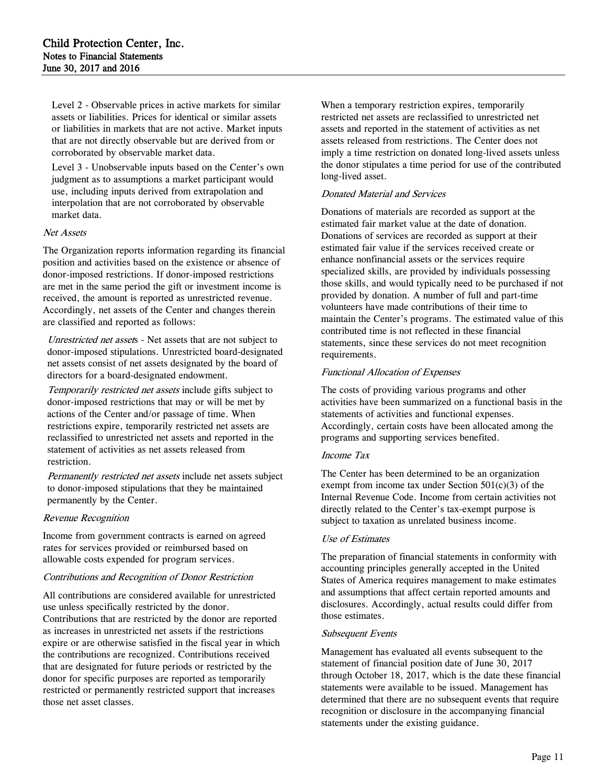Level 2 - Observable prices in active markets for similar assets or liabilities. Prices for identical or similar assets or liabilities in markets that are not active. Market inputs that are not directly observable but are derived from or corroborated by observable market data.

Level 3 - Unobservable inputs based on the Center's own judgment as to assumptions a market participant would use, including inputs derived from extrapolation and interpolation that are not corroborated by observable market data.

#### Net Assets

The Organization reports information regarding its financial position and activities based on the existence or absence of donor-imposed restrictions. If donor-imposed restrictions are met in the same period the gift or investment income is received, the amount is reported as unrestricted revenue. Accordingly, net assets of the Center and changes therein are classified and reported as follows:

Unrestricted net assets - Net assets that are not subject to donor-imposed stipulations. Unrestricted board-designated net assets consist of net assets designated by the board of directors for a board-designated endowment.

Temporarily restricted net assets include gifts subject to donor-imposed restrictions that may or will be met by actions of the Center and/or passage of time. When restrictions expire, temporarily restricted net assets are reclassified to unrestricted net assets and reported in the statement of activities as net assets released from restriction.

Permanently restricted net assets include net assets subject to donor-imposed stipulations that they be maintained permanently by the Center.

#### Revenue Recognition

Income from government contracts is earned on agreed rates for services provided or reimbursed based on allowable costs expended for program services.

#### Contributions and Recognition of Donor Restriction

All contributions are considered available for unrestricted use unless specifically restricted by the donor. Contributions that are restricted by the donor are reported as increases in unrestricted net assets if the restrictions expire or are otherwise satisfied in the fiscal year in which the contributions are recognized. Contributions received that are designated for future periods or restricted by the donor for specific purposes are reported as temporarily restricted or permanently restricted support that increases those net asset classes.

When a temporary restriction expires, temporarily restricted net assets are reclassified to unrestricted net assets and reported in the statement of activities as net assets released from restrictions. The Center does not imply a time restriction on donated long-lived assets unless the donor stipulates a time period for use of the contributed long-lived asset.

#### Donated Material and Services

Donations of materials are recorded as support at the estimated fair market value at the date of donation. Donations of services are recorded as support at their estimated fair value if the services received create or enhance nonfinancial assets or the services require specialized skills, are provided by individuals possessing those skills, and would typically need to be purchased if not provided by donation. A number of full and part-time volunteers have made contributions of their time to maintain the Center's programs. The estimated value of this contributed time is not reflected in these financial statements, since these services do not meet recognition requirements.

#### Functional Allocation of Expenses

The costs of providing various programs and other activities have been summarized on a functional basis in the statements of activities and functional expenses. Accordingly, certain costs have been allocated among the programs and supporting services benefited.

#### Income Tax

The Center has been determined to be an organization exempt from income tax under Section  $501(c)(3)$  of the Internal Revenue Code. Income from certain activities not directly related to the Center's tax-exempt purpose is subject to taxation as unrelated business income.

#### Use of Estimates

The preparation of financial statements in conformity with accounting principles generally accepted in the United States of America requires management to make estimates and assumptions that affect certain reported amounts and disclosures. Accordingly, actual results could differ from those estimates.

#### Subsequent Events

Management has evaluated all events subsequent to the statement of financial position date of June 30, 2017 through October 18, 2017, which is the date these financial statements were available to be issued. Management has determined that there are no subsequent events that require recognition or disclosure in the accompanying financial statements under the existing guidance.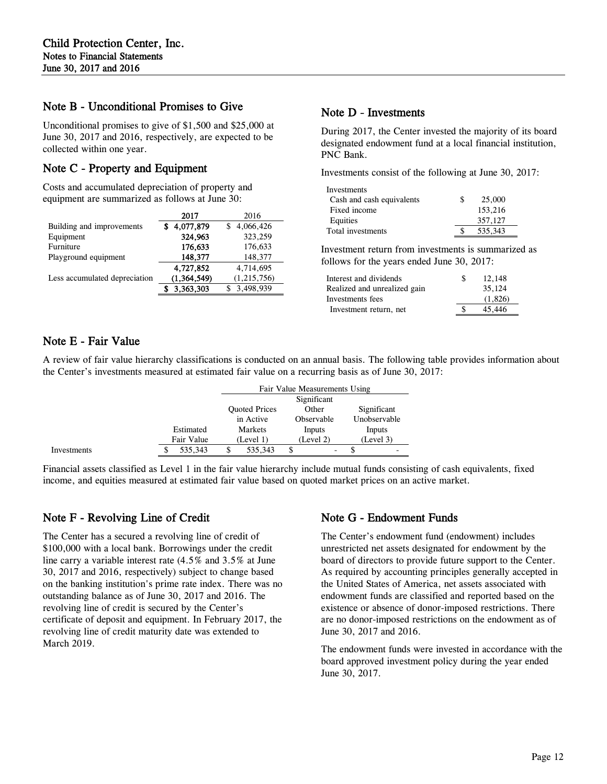### Note B - Unconditional Promises to Give

Unconditional promises to give of \$1,500 and \$25,000 at June 30, 2017 and 2016, respectively, are expected to be collected within one year.

## Note C - Property and Equipment

Costs and accumulated depreciation of property and equipment are summarized as follows at June 30:

|                               | 2017          | 2016        |
|-------------------------------|---------------|-------------|
| Building and improvements     | 4,077,879     | 4.066.426   |
| Equipment                     | 324,963       | 323,259     |
| Furniture                     | 176,633       | 176,633     |
| Playground equipment          | 148,377       | 148,377     |
|                               | 4,727,852     | 4,714,695   |
| Less accumulated depreciation | (1, 364, 549) | (1,215,756) |
|                               | 3,363,303     | 3,498,939   |
|                               |               |             |

### Note D - Investments

During 2017, the Center invested the majority of its board designated endowment fund at a local financial institution, PNC Bank.

Investments consist of the following at June 30, 2017:

| Investments               |     |         |
|---------------------------|-----|---------|
| Cash and cash equivalents | \$. | 25,000  |
| Fixed income              |     | 153,216 |
| Equities                  |     | 357,127 |
| Total investments         |     | 535,343 |

Investment return from investments is summarized as follows for the years ended June 30, 2017:

| Interest and dividends       | S | 12.148  |
|------------------------------|---|---------|
| Realized and unrealized gain |   | 35.124  |
| Investments fees             |   | (1,826) |
| Investment return, net       |   | 45,446  |
|                              |   |         |

## Note E - Fair Value

A review of fair value hierarchy classifications is conducted on an annual basis. The following table provides information about the Center's investments measured at estimated fair value on a recurring basis as of June 30, 2017:

|             |            | Fair Value Measurements Using                |                                |        |  |  |
|-------------|------------|----------------------------------------------|--------------------------------|--------|--|--|
|             |            | Significant                                  |                                |        |  |  |
|             |            | Significant<br><b>Quoted Prices</b><br>Other |                                |        |  |  |
|             |            | Unobservable<br>in Active<br>Observable      |                                |        |  |  |
|             | Estimated  | Markets                                      | Inputs                         | Inputs |  |  |
|             | Fair Value | (Level 3)<br>(Level 2)<br>(Level 1)          |                                |        |  |  |
| Investments | 535.343    | 535,343                                      | \$<br>$\overline{\phantom{0}}$ | -      |  |  |

Financial assets classified as Level 1 in the fair value hierarchy include mutual funds consisting of cash equivalents, fixed income, and equities measured at estimated fair value based on quoted market prices on an active market.

## Note F - Revolving Line of Credit

The Center has a secured a revolving line of credit of \$100,000 with a local bank. Borrowings under the credit line carry a variable interest rate (4.5% and 3.5% at June 30, 2017 and 2016, respectively) subject to change based on the banking institution's prime rate index. There was no outstanding balance as of June 30, 2017 and 2016. The revolving line of credit is secured by the Center's certificate of deposit and equipment. In February 2017, the revolving line of credit maturity date was extended to March 2019.

### Note G - Endowment Funds

The Center's endowment fund (endowment) includes unrestricted net assets designated for endowment by the board of directors to provide future support to the Center. As required by accounting principles generally accepted in the United States of America, net assets associated with endowment funds are classified and reported based on the existence or absence of donor-imposed restrictions. There are no donor-imposed restrictions on the endowment as of June 30, 2017 and 2016.

The endowment funds were invested in accordance with the board approved investment policy during the year ended June 30, 2017.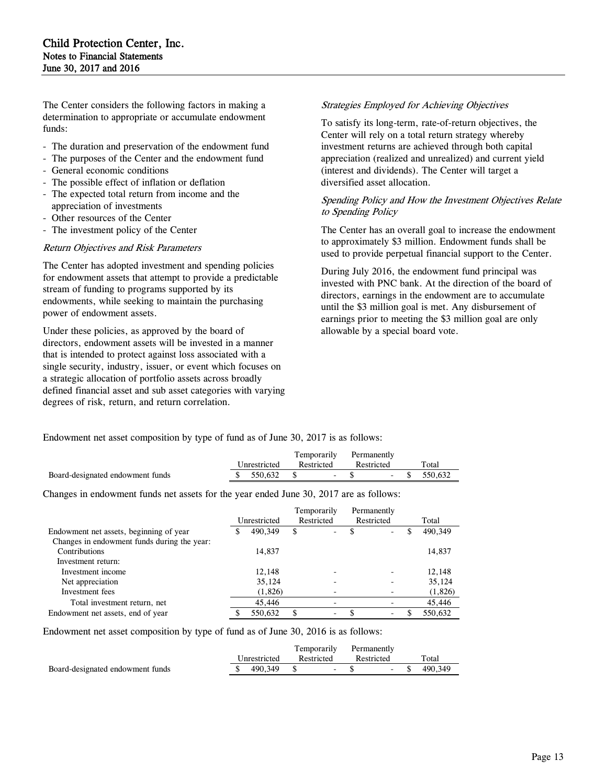The Center considers the following factors in making a determination to appropriate or accumulate endowment funds:

- The duration and preservation of the endowment fund
- The purposes of the Center and the endowment fund
- General economic conditions
- The possible effect of inflation or deflation
- The expected total return from income and the appreciation of investments
- Other resources of the Center
- The investment policy of the Center

#### Return Objectives and Risk Parameters

The Center has adopted investment and spending policies for endowment assets that attempt to provide a predictable stream of funding to programs supported by its endowments, while seeking to maintain the purchasing power of endowment assets.

Under these policies, as approved by the board of directors, endowment assets will be invested in a manner that is intended to protect against loss associated with a single security, industry, issuer, or event which focuses on a strategic allocation of portfolio assets across broadly defined financial asset and sub asset categories with varying degrees of risk, return, and return correlation.

#### Strategies Employed for Achieving Objectives

To satisfy its long-term, rate-of-return objectives, the Center will rely on a total return strategy whereby investment returns are achieved through both capital appreciation (realized and unrealized) and current yield (interest and dividends). The Center will target a diversified asset allocation.

#### Spending Policy and How the Investment Objectives Relate to Spending Policy

The Center has an overall goal to increase the endowment to approximately \$3 million. Endowment funds shall be used to provide perpetual financial support to the Center.

During July 2016, the endowment fund principal was invested with PNC bank. At the direction of the board of directors, earnings in the endowment are to accumulate until the \$3 million goal is met. Any disbursement of earnings prior to meeting the \$3 million goal are only allowable by a special board vote.

Endowment net asset composition by type of fund as of June 30, 2017 is as follows:

|                                  |  |              | Temporarily |     | Permanently |       |         |
|----------------------------------|--|--------------|-------------|-----|-------------|-------|---------|
|                                  |  | Unrestricted | Restricted  |     | Restricted  |       | Total   |
| Board-designated endowment funds |  | 550.632      |             | - 8 |             | $-$ S | 550,632 |

Changes in endowment funds net assets for the year ended June 30, 2017 are as follows:

|                                             |   |              | Temporarily                    | Permanently                  |   |         |
|---------------------------------------------|---|--------------|--------------------------------|------------------------------|---|---------|
|                                             |   | Unrestricted | Restricted                     | Restricted                   |   | Total   |
| Endowment net assets, beginning of year     | S | 490,349      | \$<br>$\overline{\phantom{a}}$ | $\blacksquare$               | S | 490.349 |
| Changes in endowment funds during the year: |   |              |                                |                              |   |         |
| Contributions                               |   | 14,837       |                                |                              |   | 14,837  |
| Investment return:                          |   |              |                                |                              |   |         |
| Investment income                           |   | 12.148       |                                |                              |   | 12,148  |
| Net appreciation                            |   | 35,124       |                                |                              |   | 35,124  |
| Investment fees                             |   | (1,826)      |                                |                              |   | (1,826) |
| Total investment return, net                |   | 45,446       | $\overline{\phantom{0}}$       |                              |   | 45,446  |
| Endowment net assets, end of year           |   | 550.632      | -                              | $\qquad \qquad \blacksquare$ |   | 550,632 |

Endowment net asset composition by type of fund as of June 30, 2016 is as follows:

|                                  |              | Temporarily | Permanently |         |
|----------------------------------|--------------|-------------|-------------|---------|
|                                  | Unrestricted | Restricted  | Restricted  | Total   |
| Board-designated endowment funds | 490.349      | $\sim$      | $-$ \$      | 490.349 |